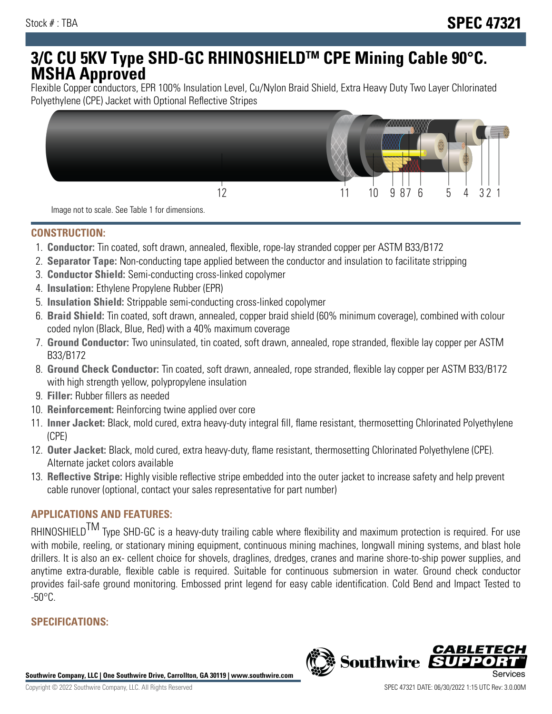# **3/C CU 5KV Type SHD-GC RHINOSHIELDTM CPE Mining Cable 90°C. MSHA Approved**

Flexible Copper conductors, EPR 100% Insulation Level, Cu/Nylon Braid Shield, Extra Heavy Duty Two Layer Chlorinated Polyethylene (CPE) Jacket with Optional Reflective Stripes



Image not to scale. See Table 1 for dimensions.

#### **CONSTRUCTION:**

- 1. **Conductor:** Tin coated, soft drawn, annealed, flexible, rope-lay stranded copper per ASTM B33/B172
- 2. **Separator Tape:** Non-conducting tape applied between the conductor and insulation to facilitate stripping
- 3. **Conductor Shield:** Semi-conducting cross-linked copolymer
- 4. **Insulation:** Ethylene Propylene Rubber (EPR)
- 5. **Insulation Shield:** Strippable semi-conducting cross-linked copolymer
- 6. **Braid Shield:** Tin coated, soft drawn, annealed, copper braid shield (60% minimum coverage), combined with colour coded nylon (Black, Blue, Red) with a 40% maximum coverage
- 7. **Ground Conductor:** Two uninsulated, tin coated, soft drawn, annealed, rope stranded, flexible lay copper per ASTM B33/B172
- 8. **Ground Check Conductor:** Tin coated, soft drawn, annealed, rope stranded, flexible lay copper per ASTM B33/B172 with high strength yellow, polypropylene insulation
- 9. **Filler:** Rubber fillers as needed
- 10. **Reinforcement:** Reinforcing twine applied over core
- 11. **Inner Jacket:** Black, mold cured, extra heavy-duty integral fill, flame resistant, thermosetting Chlorinated Polyethylene (CPE)
- 12. **Outer Jacket:** Black, mold cured, extra heavy-duty, flame resistant, thermosetting Chlorinated Polyethylene (CPE). Alternate jacket colors available
- 13. **Reflective Stripe:** Highly visible reflective stripe embedded into the outer jacket to increase safety and help prevent cable runover (optional, contact your sales representative for part number)

## **APPLICATIONS AND FEATURES:**

RHINOSHIELD<sup>TM</sup> Type SHD-GC is a heavy-duty trailing cable where flexibility and maximum protection is required. For use with mobile, reeling, or stationary mining equipment, continuous mining machines, longwall mining systems, and blast hole drillers. It is also an ex- cellent choice for shovels, draglines, dredges, cranes and marine shore-to-ship power supplies, and anytime extra-durable, flexible cable is required. Suitable for continuous submersion in water. Ground check conductor provides fail-safe ground monitoring. Embossed print legend for easy cable identification. Cold Bend and Impact Tested to  $-50^{\circ}$ C.

### **SPECIFICATIONS:**

**Southwire Company, LLC | One Southwire Drive, Carrollton, GA 30119 | www.southwire.com**

**Southwire** 

CABL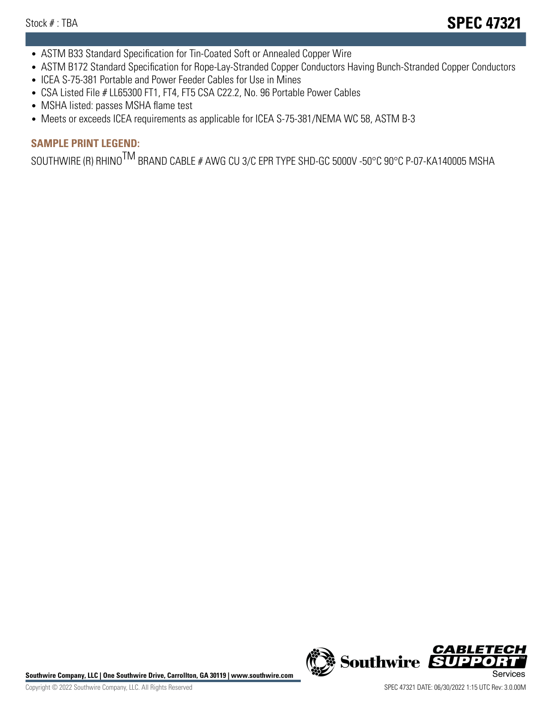- ASTM B33 Standard Specification for Tin-Coated Soft or Annealed Copper Wire
- ASTM B172 Standard Specification for Rope-Lay-Stranded Copper Conductors Having Bunch-Stranded Copper Conductors
- ICEA S-75-381 Portable and Power Feeder Cables for Use in Mines
- CSA Listed File # LL65300 FT1, FT4, FT5 CSA C22.2, No. 96 Portable Power Cables
- MSHA listed: passes MSHA flame test
- Meets or exceeds ICEA requirements as applicable for ICEA S-75-381/NEMA WC 58, ASTM B-3

## **SAMPLE PRINT LEGEND:**

SOUTHWIRE (R) RHINO<sup>TM</sup> BRAND CABLE # AWG CU 3/C EPR TYPE SHD-GC 5000V -50°C 90°C P-07-KA140005 MSHA

Southwire Company, LLC | One Southwire Drive, Carrollton, GA 30119 | www.southwire.com **Second Company, COVID Services** 



**Southwire** 

CABLE